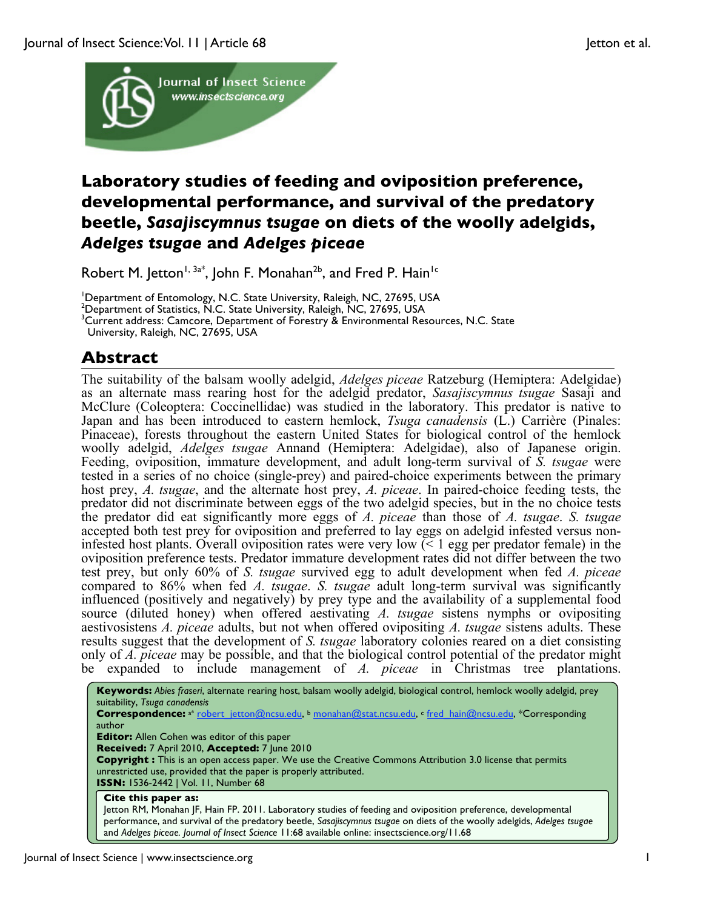

# **Laboratory studies of feeding and oviposition preference, developmental performance, and survival of the predatory beetle,** *Sasajiscymnus tsugae* **on diets of the woolly adelgids,**  *Adelges tsugae* **and** *Adelges piceae*

Robert M. Jetton<sup>1, 3a\*</sup>, John F. Monahan<sup>2b</sup>, and Fred P. Hain<sup>1c</sup>

<sup>1</sup>Department of Entomology, N.C. State University, Raleigh, NC, 27695, USA

<sup>2</sup>Department of Statistics, N.C. State University, Raleigh, NC, 27695, USA<br><sup>3</sup>Current address: Cameere, Department of Forestry 8, Environmental Re

 $^3$ Current address: Camcore, Department of Forestry  $\bar{\textbf{z}}$  Environmental Resources, N.C. State

University, Raleigh, NC, 27695, USA

## **Abstract**

The suitability of the balsam woolly adelgid, *Adelges piceae* Ratzeburg (Hemiptera: Adelgidae) as an alternate mass rearing host for the adelgid predator, *Sasajiscymnus tsugae* Sasaji and McClure (Coleoptera: Coccinellidae) was studied in the laboratory. This predator is native to Japan and has been introduced to eastern hemlock, *Tsuga canadensis* (L.) Carrière (Pinales: Pinaceae), forests throughout the eastern United States for biological control of the hemlock woolly adelgid, *Adelges tsugae* Annand (Hemiptera: Adelgidae), also of Japanese origin. Feeding, oviposition, immature development, and adult long-term survival of *S. tsugae* were tested in a series of no choice (single-prey) and paired-choice experiments between the primary host prey, *A. tsugae*, and the alternate host prey, *A. piceae*. In paired-choice feeding tests, the predator did not discriminate between eggs of the two adelgid species, but in the no choice tests the predator did eat significantly more eggs of *A. piceae* than those of *A. tsugae*. *S. tsugae* accepted both test prey for oviposition and preferred to lay eggs on adelgid infested versus noninfested host plants. Overall oviposition rates were very low (< 1 egg per predator female) in the oviposition preference tests. Predator immature development rates did not differ between the two test prey, but only 60% of *S. tsugae* survived egg to adult development when fed *A. piceae* compared to 86% when fed *A. tsugae*. *S. tsugae* adult long-term survival was significantly influenced (positively and negatively) by prey type and the availability of a supplemental food source (diluted honey) when offered aestivating *A. tsugae* sistens nymphs or ovipositing aestivosistens *A. piceae* adults, but not when offered ovipositing *A. tsugae* sistens adults. These results suggest that the development of *S. tsugae* laboratory colonies reared on a diet consisting only of *A. piceae* may be possible, and that the biological control potential of the predator might be expanded to include management of *A. piceae* in Christmas tree plantations.

**Keywords:** *Abies fraseri*, alternate rearing host, balsam woolly adelgid, biological control, hemlock woolly adelgid, prey suitability, *Tsuga canadensis* Correspondence: a\* robert\_jetton@ncsu.edu, <sup>b</sup> monahan@stat.ncsu.edu, c fred\_hain@ncsu.edu, \*Corresponding author **Editor:** Allen Cohen was editor of this paper **Received:** 7 April 2010, **Accepted:** 7 June 2010 **Copyright :** This is an open access paper. We use the Creative Commons Attribution 3.0 license that permits unrestricted use, provided that the paper is properly attributed. **ISSN:** 1536-2442 | Vol. 11, Number 68 **Cite this paper as:** Jetton RM, Monahan JF, Hain FP. 2011. Laboratory studies of feeding and oviposition preference, developmental performance, and survival of the predatory beetle, *Sasajiscymnus tsugae* on diets of the woolly adelgids, *Adelges tsugae* and *Adelges piceae. Journal of Insect Science* 11:68 available online: insectscience.org/11.68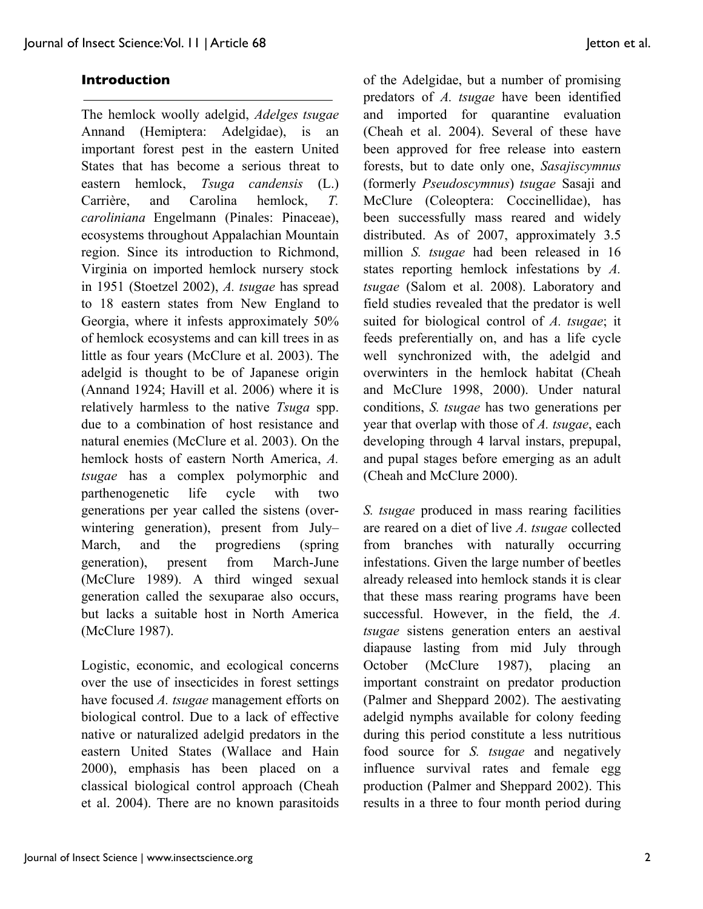### **Introduction**

The hemlock woolly adelgid, *Adelges tsugae* Annand (Hemiptera: Adelgidae), is an important forest pest in the eastern United States that has become a serious threat to eastern hemlock, *Tsuga candensis* (L.) Carrière, and Carolina hemlock, *T. caroliniana* Engelmann (Pinales: Pinaceae), ecosystems throughout Appalachian Mountain region. Since its introduction to Richmond, Virginia on imported hemlock nursery stock in 1951 (Stoetzel 2002), *A. tsugae* has spread to 18 eastern states from New England to Georgia, where it infests approximately 50% of hemlock ecosystems and can kill trees in as little as four years (McClure et al. 2003). The adelgid is thought to be of Japanese origin (Annand 1924; Havill et al. 2006) where it is relatively harmless to the native *Tsuga* spp. due to a combination of host resistance and natural enemies (McClure et al. 2003). On the hemlock hosts of eastern North America, *A. tsugae* has a complex polymorphic and parthenogenetic life cycle with two generations per year called the sistens (overwintering generation), present from July– March, and the progrediens (spring generation), present from March-June (McClure 1989). A third winged sexual generation called the sexuparae also occurs, but lacks a suitable host in North America (McClure 1987).

Logistic, economic, and ecological concerns over the use of insecticides in forest settings have focused *A. tsugae* management efforts on biological control. Due to a lack of effective native or naturalized adelgid predators in the eastern United States (Wallace and Hain 2000), emphasis has been placed on a classical biological control approach (Cheah et al. 2004). There are no known parasitoids of the Adelgidae, but a number of promising predators of *A. tsugae* have been identified and imported for quarantine evaluation (Cheah et al. 2004). Several of these have been approved for free release into eastern forests, but to date only one, *Sasajiscymnus* (formerly *Pseudoscymnus*) *tsugae* Sasaji and McClure (Coleoptera: Coccinellidae), has been successfully mass reared and widely distributed. As of 2007, approximately 3.5 million *S. tsugae* had been released in 16 states reporting hemlock infestations by *A. tsugae* (Salom et al. 2008). Laboratory and field studies revealed that the predator is well suited for biological control of *A. tsugae*; it feeds preferentially on, and has a life cycle well synchronized with, the adelgid and overwinters in the hemlock habitat (Cheah and McClure 1998, 2000). Under natural conditions, *S. tsugae* has two generations per year that overlap with those of *A. tsugae*, each developing through 4 larval instars, prepupal, and pupal stages before emerging as an adult (Cheah and McClure 2000).

*S. tsugae* produced in mass rearing facilities are reared on a diet of live *A. tsugae* collected from branches with naturally occurring infestations. Given the large number of beetles already released into hemlock stands it is clear that these mass rearing programs have been successful. However, in the field, the *A. tsugae* sistens generation enters an aestival diapause lasting from mid July through October (McClure 1987), placing an important constraint on predator production (Palmer and Sheppard 2002). The aestivating adelgid nymphs available for colony feeding during this period constitute a less nutritious food source for *S. tsugae* and negatively influence survival rates and female egg production (Palmer and Sheppard 2002). This results in a three to four month period during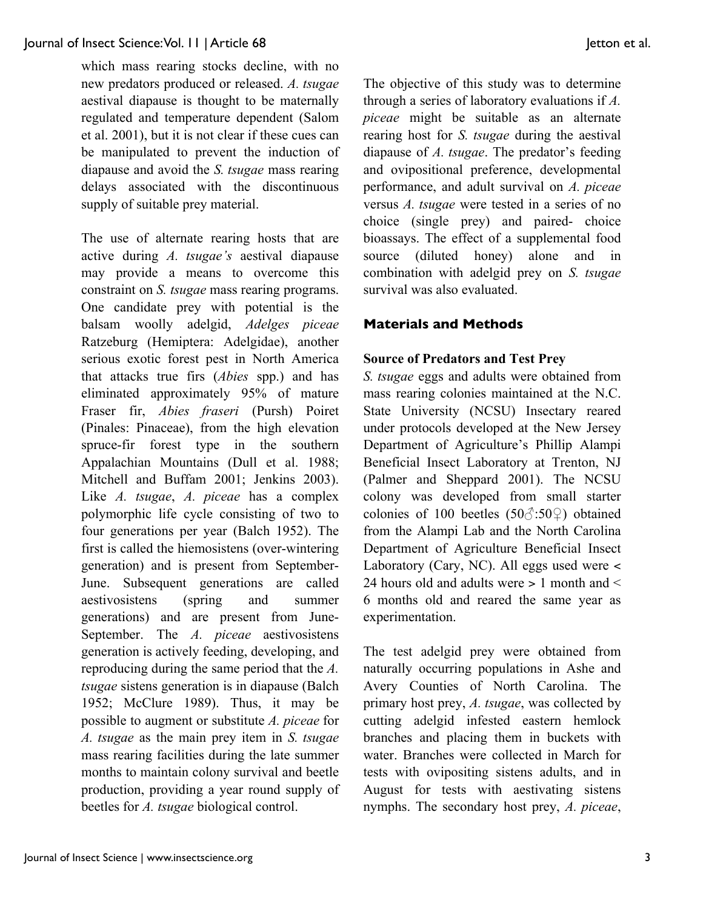which mass rearing stocks decline, with no new predators produced or released. *A. tsugae* aestival diapause is thought to be maternally regulated and temperature dependent (Salom et al. 2001), but it is not clear if these cues can be manipulated to prevent the induction of diapause and avoid the *S. tsugae* mass rearing delays associated with the discontinuous supply of suitable prey material.

The use of alternate rearing hosts that are active during *A. tsugae's* aestival diapause may provide a means to overcome this constraint on *S. tsugae* mass rearing programs. One candidate prey with potential is the balsam woolly adelgid, *Adelges piceae* Ratzeburg (Hemiptera: Adelgidae), another serious exotic forest pest in North America that attacks true firs (*Abies* spp.) and has eliminated approximately 95% of mature Fraser fir, *Abies fraseri* (Pursh) Poiret (Pinales: Pinaceae), from the high elevation spruce-fir forest type in the southern Appalachian Mountains (Dull et al. 1988; Mitchell and Buffam 2001; Jenkins 2003). Like *A. tsugae*, *A. piceae* has a complex polymorphic life cycle consisting of two to four generations per year (Balch 1952). The first is called the hiemosistens (over-wintering generation) and is present from September-June. Subsequent generations are called aestivosistens (spring and summer generations) and are present from June-September. The *A. piceae* aestivosistens generation is actively feeding, developing, and reproducing during the same period that the *A. tsugae* sistens generation is in diapause (Balch 1952; McClure 1989). Thus, it may be possible to augment or substitute *A. piceae* for *A. tsugae* as the main prey item in *S. tsugae* mass rearing facilities during the late summer months to maintain colony survival and beetle production, providing a year round supply of beetles for *A. tsugae* biological control.

The objective of this study was to determine through a series of laboratory evaluations if *A. piceae* might be suitable as an alternate rearing host for *S. tsugae* during the aestival diapause of *A. tsugae*. The predator's feeding and ovipositional preference, developmental performance, and adult survival on *A. piceae* versus *A. tsugae* were tested in a series of no choice (single prey) and paired- choice bioassays. The effect of a supplemental food source (diluted honey) alone and in combination with adelgid prey on *S. tsugae* survival was also evaluated.

## **Materials and Methods**

#### **Source of Predators and Test Prey**

*S. tsugae* eggs and adults were obtained from mass rearing colonies maintained at the N.C. State University (NCSU) Insectary reared under protocols developed at the New Jersey Department of Agriculture's Phillip Alampi Beneficial Insect Laboratory at Trenton, NJ (Palmer and Sheppard 2001). The NCSU colony was developed from small starter colonies of 100 beetles (50 $\textdegree$ :50 $\textdegree$ ) obtained from the Alampi Lab and the North Carolina Department of Agriculture Beneficial Insect Laboratory (Cary, NC). All eggs used were < 24 hours old and adults were > 1 month and < 6 months old and reared the same year as experimentation.

The test adelgid prey were obtained from naturally occurring populations in Ashe and Avery Counties of North Carolina. The primary host prey, *A. tsugae*, was collected by cutting adelgid infested eastern hemlock branches and placing them in buckets with water. Branches were collected in March for tests with ovipositing sistens adults, and in August for tests with aestivating sistens nymphs. The secondary host prey, *A. piceae*,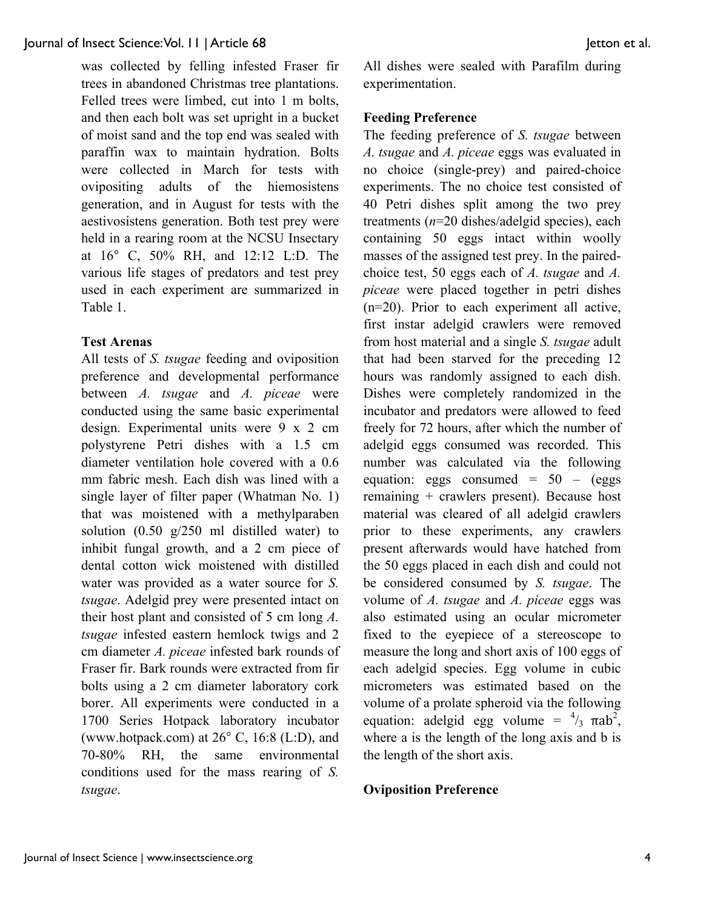was collected by felling infested Fraser fir trees in abandoned Christmas tree plantations. Felled trees were limbed, cut into 1 m bolts, and then each bolt was set upright in a bucket of moist sand and the top end was sealed with paraffin wax to maintain hydration. Bolts were collected in March for tests with ovipositing adults of the hiemosistens generation, and in August for tests with the aestivosistens generation. Both test prey were held in a rearing room at the NCSU Insectary at 16° C, 50% RH, and 12:12 L:D. The various life stages of predators and test prey used in each experiment are summarized in Table 1.

## **Test Arenas**

All tests of *S. tsugae* feeding and oviposition preference and developmental performance between *A. tsugae* and *A. piceae* were conducted using the same basic experimental design. Experimental units were 9 x 2 cm polystyrene Petri dishes with a 1.5 cm diameter ventilation hole covered with a 0.6 mm fabric mesh. Each dish was lined with a single layer of filter paper (Whatman No. 1) that was moistened with a methylparaben solution  $(0.50 \text{ g}/250 \text{ ml} \text{ distilled water})$  to inhibit fungal growth, and a 2 cm piece of dental cotton wick moistened with distilled water was provided as a water source for *S. tsugae*. Adelgid prey were presented intact on their host plant and consisted of 5 cm long *A. tsugae* infested eastern hemlock twigs and 2 cm diameter *A. piceae* infested bark rounds of Fraser fir. Bark rounds were extracted from fir bolts using a 2 cm diameter laboratory cork borer. All experiments were conducted in a 1700 Series Hotpack laboratory incubator (www.hotpack.com) at 26° C, 16:8 (L:D), and 70-80% RH, the same environmental conditions used for the mass rearing of *S. tsugae*.

All dishes were sealed with Parafilm during experimentation.

#### **Feeding Preference**

The feeding preference of *S. tsugae* between *A. tsugae* and *A. piceae* eggs was evaluated in no choice (single-prey) and paired-choice experiments. The no choice test consisted of 40 Petri dishes split among the two prey treatments (*n*=20 dishes/adelgid species), each containing 50 eggs intact within woolly masses of the assigned test prey. In the pairedchoice test, 50 eggs each of *A. tsugae* and *A. piceae* were placed together in petri dishes (n=20). Prior to each experiment all active, first instar adelgid crawlers were removed from host material and a single *S. tsugae* adult that had been starved for the preceding 12 hours was randomly assigned to each dish. Dishes were completely randomized in the incubator and predators were allowed to feed freely for 72 hours, after which the number of adelgid eggs consumed was recorded. This number was calculated via the following equation: eggs consumed =  $50 - (eggs)$ remaining + crawlers present). Because host material was cleared of all adelgid crawlers prior to these experiments, any crawlers present afterwards would have hatched from the 50 eggs placed in each dish and could not be considered consumed by *S. tsugae*. The volume of *A. tsugae* and *A. piceae* eggs was also estimated using an ocular micrometer fixed to the eyepiece of a stereoscope to measure the long and short axis of 100 eggs of each adelgid species. Egg volume in cubic micrometers was estimated based on the volume of a prolate spheroid via the following equation: adelgid egg volume =  $\frac{4}{3}$   $\pi ab^2$ , where a is the length of the long axis and b is the length of the short axis.

### **Oviposition Preference**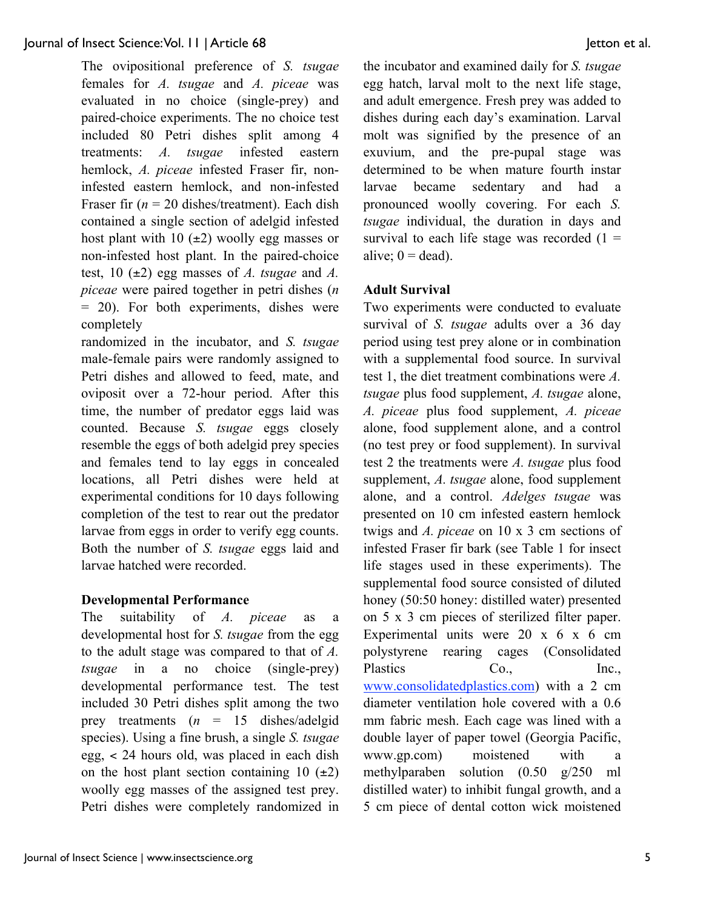The ovipositional preference of *S. tsugae* females for *A. tsugae* and *A. piceae* was evaluated in no choice (single-prey) and paired-choice experiments. The no choice test included 80 Petri dishes split among 4 treatments: *A. tsugae* infested eastern hemlock, *A. piceae* infested Fraser fir, noninfested eastern hemlock, and non-infested Fraser fir  $(n = 20 \text{ dishes/treatment})$ . Each dish contained a single section of adelgid infested host plant with 10  $(\pm 2)$  woolly egg masses or non-infested host plant. In the paired-choice test, 10 (±2) egg masses of *A. tsugae* and *A. piceae* were paired together in petri dishes (*n* = 20). For both experiments, dishes were completely

randomized in the incubator, and *S. tsugae* male-female pairs were randomly assigned to Petri dishes and allowed to feed, mate, and oviposit over a 72-hour period. After this time, the number of predator eggs laid was counted. Because *S. tsugae* eggs closely resemble the eggs of both adelgid prey species and females tend to lay eggs in concealed locations, all Petri dishes were held at experimental conditions for 10 days following completion of the test to rear out the predator larvae from eggs in order to verify egg counts. Both the number of *S. tsugae* eggs laid and larvae hatched were recorded.

## **Developmental Performance**

The suitability of *A. piceae* as a developmental host for *S. tsugae* from the egg to the adult stage was compared to that of *A. tsugae* in a no choice (single-prey) developmental performance test. The test included 30 Petri dishes split among the two prey treatments (*n* = 15 dishes/adelgid species). Using a fine brush, a single *S. tsugae* egg, < 24 hours old, was placed in each dish on the host plant section containing 10  $(\pm 2)$ woolly egg masses of the assigned test prey. Petri dishes were completely randomized in the incubator and examined daily for *S. tsugae* egg hatch, larval molt to the next life stage, and adult emergence. Fresh prey was added to dishes during each day's examination. Larval molt was signified by the presence of an exuvium, and the pre-pupal stage was determined to be when mature fourth instar larvae became sedentary and had a pronounced woolly covering. For each *S. tsugae* individual, the duration in days and survival to each life stage was recorded  $(1 =$ alive;  $0 =$  dead).

## **Adult Survival**

Two experiments were conducted to evaluate survival of *S. tsugae* adults over a 36 day period using test prey alone or in combination with a supplemental food source. In survival test 1, the diet treatment combinations were *A. tsugae* plus food supplement, *A. tsugae* alone, *A. piceae* plus food supplement, *A. piceae* alone, food supplement alone, and a control (no test prey or food supplement). In survival test 2 the treatments were *A. tsugae* plus food supplement, *A. tsugae* alone, food supplement alone, and a control. *Adelges tsugae* was presented on 10 cm infested eastern hemlock twigs and *A. piceae* on 10 x 3 cm sections of infested Fraser fir bark (see Table 1 for insect life stages used in these experiments). The supplemental food source consisted of diluted honey (50:50 honey: distilled water) presented on 5 x 3 cm pieces of sterilized filter paper. Experimental units were 20 x 6 x 6 cm polystyrene rearing cages (Consolidated Plastics Co., Inc., www.consolidatedplastics.com) with a 2 cm diameter ventilation hole covered with a 0.6 mm fabric mesh. Each cage was lined with a double layer of paper towel (Georgia Pacific, www.gp.com) moistened with a methylparaben solution (0.50 g/250 ml distilled water) to inhibit fungal growth, and a 5 cm piece of dental cotton wick moistened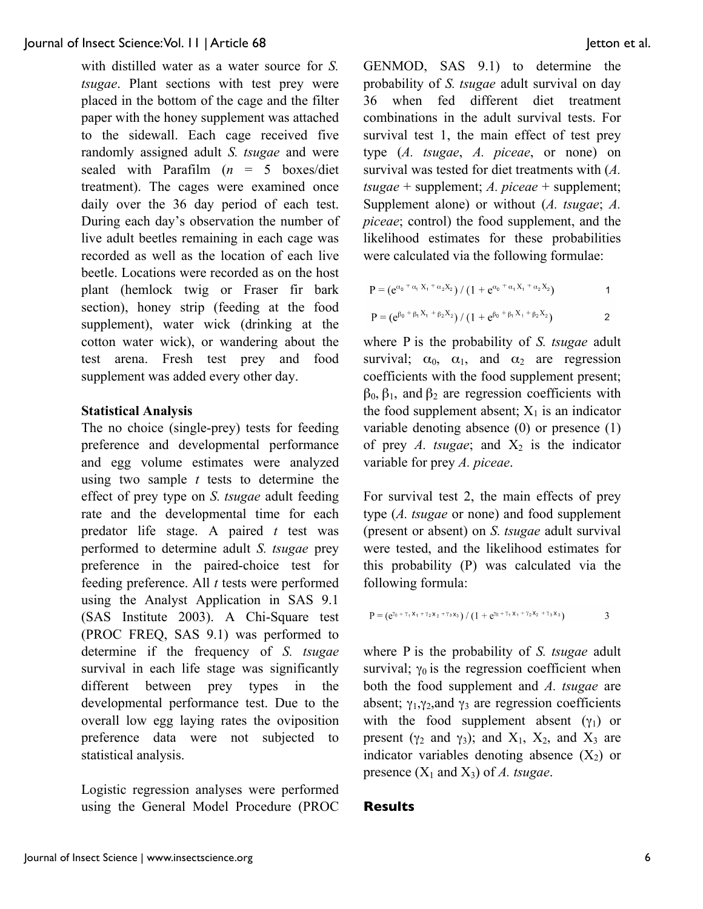with distilled water as a water source for *S. tsugae*. Plant sections with test prey were placed in the bottom of the cage and the filter paper with the honey supplement was attached to the sidewall. Each cage received five randomly assigned adult *S. tsugae* and were sealed with Parafilm (*n* = 5 boxes/diet treatment). The cages were examined once daily over the 36 day period of each test. During each day's observation the number of live adult beetles remaining in each cage was recorded as well as the location of each live beetle. Locations were recorded as on the host plant (hemlock twig or Fraser fir bark section), honey strip (feeding at the food supplement), water wick (drinking at the cotton water wick), or wandering about the test arena. Fresh test prey and food supplement was added every other day.

#### **Statistical Analysis**

The no choice (single-prey) tests for feeding preference and developmental performance and egg volume estimates were analyzed using two sample *t* tests to determine the effect of prey type on *S. tsugae* adult feeding rate and the developmental time for each predator life stage. A paired *t* test was performed to determine adult *S. tsugae* prey preference in the paired-choice test for feeding preference. All *t* tests were performed using the Analyst Application in SAS 9.1 (SAS Institute 2003). A Chi-Square test (PROC FREQ, SAS 9.1) was performed to determine if the frequency of *S. tsugae* survival in each life stage was significantly different between prey types in the developmental performance test. Due to the overall low egg laying rates the oviposition preference data were not subjected to statistical analysis.

Logistic regression analyses were performed using the General Model Procedure (PROC GENMOD, SAS 9.1) to determine the probability of *S. tsugae* adult survival on day 36 when fed different diet treatment combinations in the adult survival tests. For survival test 1, the main effect of test prey type (*A. tsugae*, *A. piceae*, or none) on survival was tested for diet treatments with (*A. tsugae* + supplement; *A. piceae* + supplement; Supplement alone) or without (*A. tsugae*; *A. piceae*; control) the food supplement, and the likelihood estimates for these probabilities were calculated via the following formulae:

$$
P = (e^{\alpha_0 + \alpha_1 X_1 + \alpha_2 X_2}) / (1 + e^{\alpha_0 + \alpha_1 X_1 + \alpha_2 X_2})
$$
 1

$$
P = (e^{\beta_0 + \beta_1 X_1 + \beta_2 X_2}) / (1 + e^{\beta_0 + \beta_1 X_1 + \beta_2 X_2})
$$
 2

where P is the probability of *S. tsugae* adult survival;  $\alpha_0$ ,  $\alpha_1$ , and  $\alpha_2$  are regression coefficients with the food supplement present;  $β<sub>0</sub>, β<sub>1</sub>, and β<sub>2</sub>$  are regression coefficients with the food supplement absent;  $X_1$  is an indicator variable denoting absence (0) or presence (1) of prey *A. tsugae*; and  $X_2$  is the indicator variable for prey *A. piceae*.

For survival test 2, the main effects of prey type (*A. tsugae* or none) and food supplement (present or absent) on *S. tsugae* adult survival were tested, and the likelihood estimates for this probability (P) was calculated via the following formula:

$$
P = (e^{y_0 + \gamma_1 x_1 + \gamma_2 x_2 + \gamma_3 x_3}) / (1 + e^{y_0 + \gamma_1 x_1 + \gamma_2 x_2 + \gamma_3 x_3})
$$
 3

where P is the probability of *S. tsugae* adult survival;  $\gamma_0$  is the regression coefficient when both the food supplement and *A. tsugae* are absent;  $\gamma_1, \gamma_2$  and  $\gamma_3$  are regression coefficients with the food supplement absent  $(y_1)$  or present ( $\gamma_2$  and  $\gamma_3$ ); and  $X_1$ ,  $X_2$ , and  $X_3$  are indicator variables denoting absence  $(X_2)$  or presence  $(X_1 \text{ and } X_3)$  of *A. tsugae.* 

### **Results**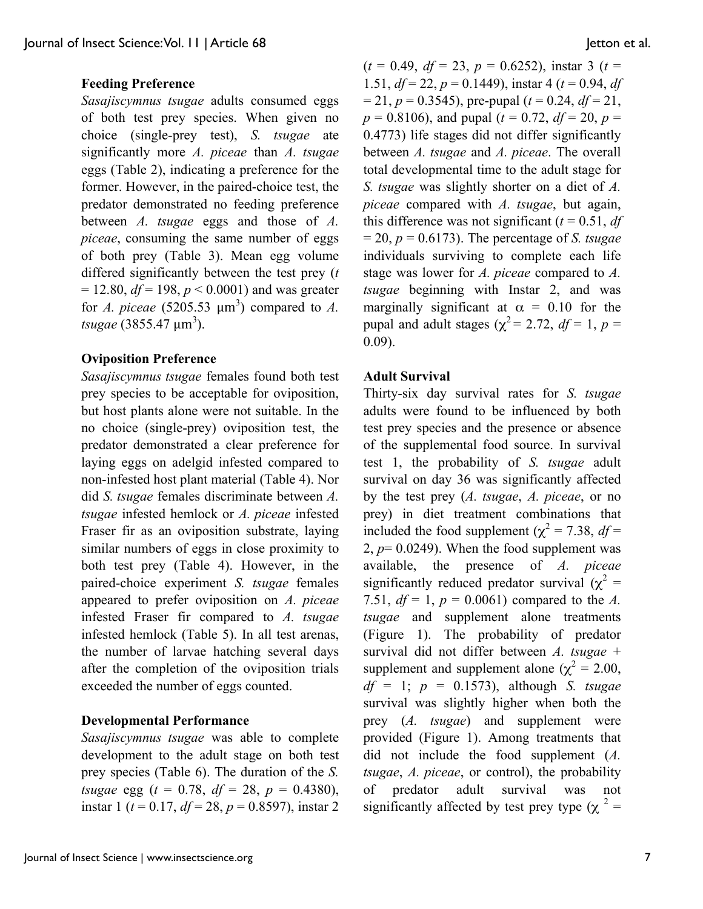## **Feeding Preference**

*Sasajiscymnus tsugae* adults consumed eggs of both test prey species. When given no choice (single-prey test), *S. tsugae* ate significantly more *A. piceae* than *A. tsugae* eggs (Table 2), indicating a preference for the former. However, in the paired-choice test, the predator demonstrated no feeding preference between *A. tsugae* eggs and those of *A. piceae*, consuming the same number of eggs of both prey (Table 3). Mean egg volume differed significantly between the test prey (*t*  $= 12.80, df = 198, p < 0.0001$ ) and was greater for *A. piceae* (5205.53  $\mu$ m<sup>3</sup>) compared to *A. tsugae* (3855.47 μm<sup>3</sup>).

### **Oviposition Preference**

*Sasajiscymnus tsugae* females found both test prey species to be acceptable for oviposition, but host plants alone were not suitable. In the no choice (single-prey) oviposition test, the predator demonstrated a clear preference for laying eggs on adelgid infested compared to non-infested host plant material (Table 4). Nor did *S. tsugae* females discriminate between *A. tsugae* infested hemlock or *A. piceae* infested Fraser fir as an oviposition substrate, laying similar numbers of eggs in close proximity to both test prey (Table 4). However, in the paired-choice experiment *S. tsugae* females appeared to prefer oviposition on *A. piceae* infested Fraser fir compared to *A. tsugae* infested hemlock (Table 5). In all test arenas, the number of larvae hatching several days after the completion of the oviposition trials exceeded the number of eggs counted.

## **Developmental Performance**

*Sasajiscymnus tsugae* was able to complete development to the adult stage on both test prey species (Table 6). The duration of the *S. tsugae* egg (*t* = 0.78, *df* = 28, *p* = 0.4380), instar 1 (*t* = 0.17, *df* = 28, *p* = 0.8597), instar 2

 $(t = 0.49, df = 23, p = 0.6252)$ , instar 3 (*t* = 1.51, *df* = 22, *p* = 0.1449), instar 4 (*t* = 0.94, *df*  $= 21, p = 0.3545$ , pre-pupal ( $t = 0.24, df = 21$ ,  $p = 0.8106$ , and pupal ( $t = 0.72$ ,  $df = 20$ ,  $p =$ 0.4773) life stages did not differ significantly between *A. tsugae* and *A. piceae*. The overall total developmental time to the adult stage for *S. tsugae* was slightly shorter on a diet of *A. piceae* compared with *A. tsugae*, but again, this difference was not significant  $(t = 0.51, df)$  $= 20$ ,  $p = 0.6173$ ). The percentage of *S. tsugae* individuals surviving to complete each life stage was lower for *A. piceae* compared to *A. tsugae* beginning with Instar 2, and was marginally significant at  $\alpha = 0.10$  for the pupal and adult stages ( $\chi^2$  = 2.72, *df* = 1, *p* = 0.09).

#### **Adult Survival**

Thirty-six day survival rates for *S. tsugae* adults were found to be influenced by both test prey species and the presence or absence of the supplemental food source. In survival test 1, the probability of *S. tsugae* adult survival on day 36 was significantly affected by the test prey (*A. tsugae*, *A. piceae*, or no prey) in diet treatment combinations that included the food supplement ( $\chi^2$  = 7.38, *df* = 2,  $p=0.0249$ ). When the food supplement was available, the presence of *A. piceae* significantly reduced predator survival ( $\chi^2$  = 7.51,  $df = 1$ ,  $p = 0.0061$ ) compared to the *A*. *tsugae* and supplement alone treatments (Figure 1). The probability of predator survival did not differ between *A. tsugae* + supplement and supplement alone ( $\chi^2 = 2.00$ , *df* = 1; *p* = 0.1573), although *S. tsugae* survival was slightly higher when both the prey (*A. tsugae*) and supplement were provided (Figure 1). Among treatments that did not include the food supplement (*A. tsugae*, *A. piceae*, or control), the probability of predator adult survival was not significantly affected by test prey type ( $\chi^2$  =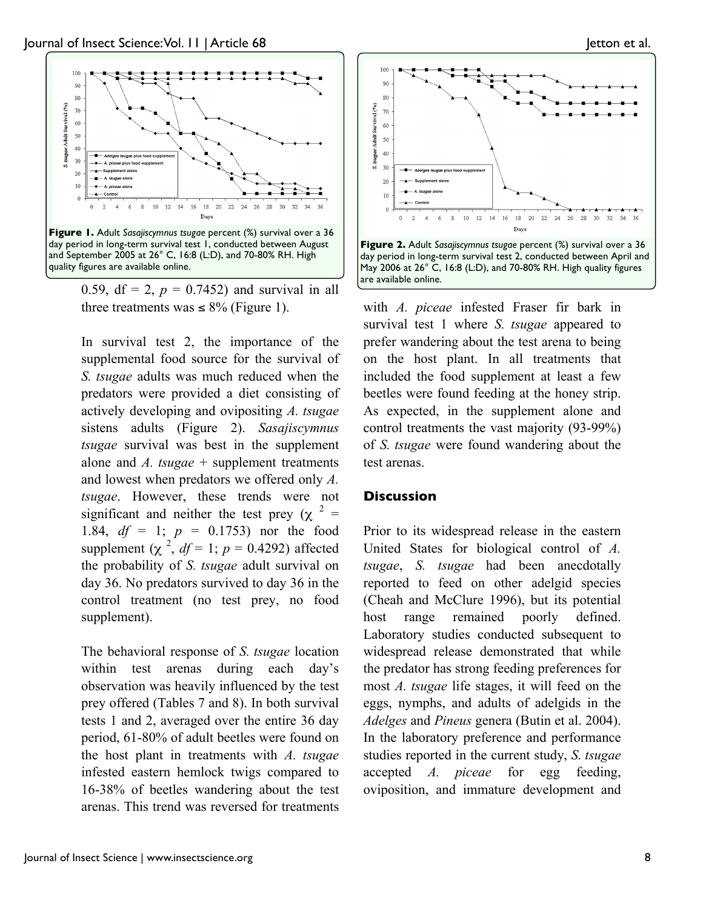

0.59, df = 2,  $p = 0.7452$ ) and survival in all three treatments was  $\leq 8\%$  (Figure 1).

In survival test 2, the importance of the supplemental food source for the survival of *S. tsugae* adults was much reduced when the predators were provided a diet consisting of actively developing and ovipositing *A. tsugae* sistens adults (Figure 2). *Sasajiscymnus tsugae* survival was best in the supplement alone and *A. tsugae* + supplement treatments and lowest when predators we offered only *A. tsugae*. However, these trends were not significant and neither the test prey ( $\chi$ <sup>2</sup> = 1.84, *df* = 1; *p* = 0.1753) nor the food supplement  $(\chi^2, df = 1; p = 0.4292)$  affected the probability of *S. tsugae* adult survival on day 36. No predators survived to day 36 in the control treatment (no test prey, no food supplement).

The behavioral response of *S. tsugae* location within test arenas during each day's observation was heavily influenced by the test prey offered (Tables 7 and 8). In both survival tests 1 and 2, averaged over the entire 36 day period, 61-80% of adult beetles were found on the host plant in treatments with *A. tsugae* infested eastern hemlock twigs compared to 16-38% of beetles wandering about the test arenas. This trend was reversed for treatments



with *A. piceae* infested Fraser fir bark in survival test 1 where *S. tsugae* appeared to prefer wandering about the test arena to being on the host plant. In all treatments that included the food supplement at least a few beetles were found feeding at the honey strip. As expected, in the supplement alone and control treatments the vast majority (93-99%) of *S. tsugae* were found wandering about the test arenas.

### **Discussion**

Prior to its widespread release in the eastern United States for biological control of *A. tsugae*, *S. tsugae* had been anecdotally reported to feed on other adelgid species (Cheah and McClure 1996), but its potential host range remained poorly defined. Laboratory studies conducted subsequent to widespread release demonstrated that while the predator has strong feeding preferences for most *A. tsugae* life stages, it will feed on the eggs, nymphs, and adults of adelgids in the *Adelges* and *Pineus* genera (Butin et al. 2004). In the laboratory preference and performance studies reported in the current study, *S. tsugae* accepted *A. piceae* for egg feeding, oviposition, and immature development and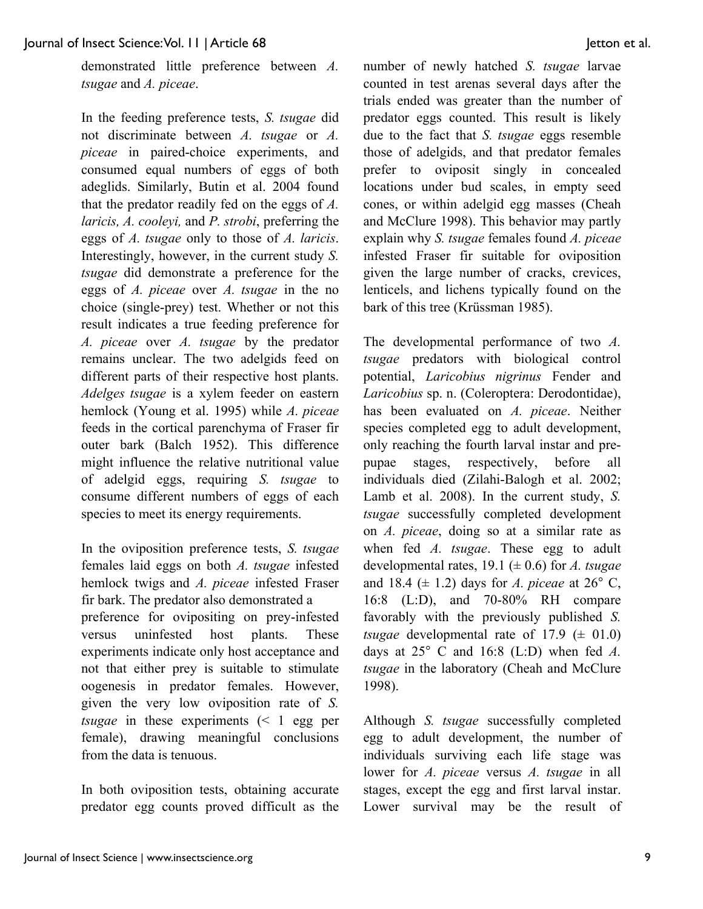demonstrated little preference between *A. tsugae* and *A. piceae*.

In the feeding preference tests, *S. tsugae* did not discriminate between *A. tsugae* or *A. piceae* in paired-choice experiments, and consumed equal numbers of eggs of both adeglids. Similarly, Butin et al. 2004 found that the predator readily fed on the eggs of *A. laricis, A. cooleyi,* and *P. strobi*, preferring the eggs of *A. tsugae* only to those of *A. laricis*. Interestingly, however, in the current study *S. tsugae* did demonstrate a preference for the eggs of *A. piceae* over *A. tsugae* in the no choice (single-prey) test. Whether or not this result indicates a true feeding preference for *A. piceae* over *A. tsugae* by the predator remains unclear. The two adelgids feed on different parts of their respective host plants. *Adelges tsugae* is a xylem feeder on eastern hemlock (Young et al. 1995) while *A. piceae* feeds in the cortical parenchyma of Fraser fir outer bark (Balch 1952). This difference might influence the relative nutritional value of adelgid eggs, requiring *S. tsugae* to consume different numbers of eggs of each species to meet its energy requirements.

In the oviposition preference tests, *S. tsugae* females laid eggs on both *A. tsugae* infested hemlock twigs and *A. piceae* infested Fraser fir bark. The predator also demonstrated a preference for ovipositing on prey-infested versus uninfested host plants. These experiments indicate only host acceptance and not that either prey is suitable to stimulate oogenesis in predator females. However, given the very low oviposition rate of *S. tsugae* in these experiments (< 1 egg per female), drawing meaningful conclusions from the data is tenuous.

In both oviposition tests, obtaining accurate predator egg counts proved difficult as the number of newly hatched *S. tsugae* larvae counted in test arenas several days after the trials ended was greater than the number of predator eggs counted. This result is likely due to the fact that *S. tsugae* eggs resemble those of adelgids, and that predator females prefer to oviposit singly in concealed locations under bud scales, in empty seed cones, or within adelgid egg masses (Cheah and McClure 1998). This behavior may partly explain why *S. tsugae* females found *A. piceae* infested Fraser fir suitable for oviposition given the large number of cracks, crevices, lenticels, and lichens typically found on the bark of this tree (Krüssman 1985).

The developmental performance of two *A. tsugae* predators with biological control potential, *Laricobius nigrinus* Fender and *Laricobius* sp. n. (Coleroptera: Derodontidae), has been evaluated on *A. piceae*. Neither species completed egg to adult development, only reaching the fourth larval instar and prepupae stages, respectively, before all individuals died (Zilahi-Balogh et al. 2002; Lamb et al. 2008). In the current study, *S. tsugae* successfully completed development on *A. piceae*, doing so at a similar rate as when fed *A. tsugae*. These egg to adult developmental rates, 19.1 (± 0.6) for *A. tsugae* and 18.4 ( $\pm$  1.2) days for *A. piceae* at 26 $\degree$  C, 16:8 (L:D), and 70-80% RH compare favorably with the previously published *S. tsugae* developmental rate of  $17.9 \ (\pm 01.0)$ days at 25° C and 16:8 (L:D) when fed *A. tsugae* in the laboratory (Cheah and McClure 1998).

Although *S. tsugae* successfully completed egg to adult development, the number of individuals surviving each life stage was lower for *A. piceae* versus *A. tsugae* in all stages, except the egg and first larval instar. Lower survival may be the result of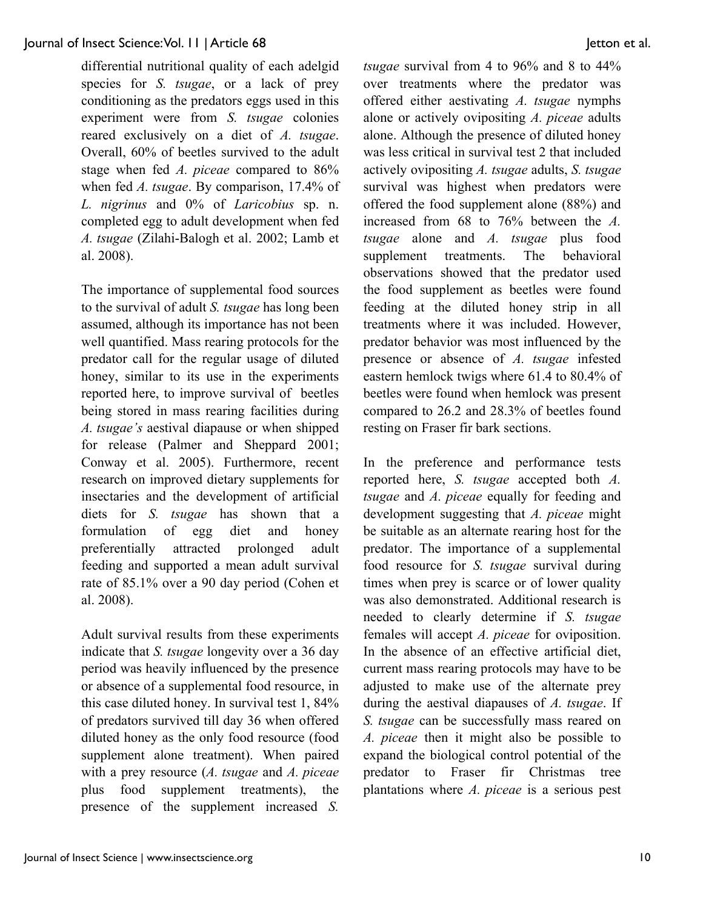differential nutritional quality of each adelgid species for *S. tsugae*, or a lack of prey conditioning as the predators eggs used in this experiment were from *S. tsugae* colonies reared exclusively on a diet of *A. tsugae*. Overall, 60% of beetles survived to the adult stage when fed *A. piceae* compared to 86% when fed *A. tsugae*. By comparison, 17.4% of *L. nigrinus* and 0% of *Laricobius* sp. n. completed egg to adult development when fed *A. tsugae* (Zilahi-Balogh et al. 2002; Lamb et al. 2008).

The importance of supplemental food sources to the survival of adult *S. tsugae* has long been assumed, although its importance has not been well quantified. Mass rearing protocols for the predator call for the regular usage of diluted honey, similar to its use in the experiments reported here, to improve survival of beetles being stored in mass rearing facilities during *A. tsugae's* aestival diapause or when shipped for release (Palmer and Sheppard 2001; Conway et al. 2005). Furthermore, recent research on improved dietary supplements for insectaries and the development of artificial diets for *S. tsugae* has shown that a formulation of egg diet and honey preferentially attracted prolonged adult feeding and supported a mean adult survival rate of 85.1% over a 90 day period (Cohen et al. 2008).

Adult survival results from these experiments indicate that *S. tsugae* longevity over a 36 day period was heavily influenced by the presence or absence of a supplemental food resource, in this case diluted honey. In survival test 1, 84% of predators survived till day 36 when offered diluted honey as the only food resource (food supplement alone treatment). When paired with a prey resource (*A. tsugae* and *A. piceae* plus food supplement treatments), the presence of the supplement increased *S.*  *tsugae* survival from 4 to 96% and 8 to 44% over treatments where the predator was offered either aestivating *A. tsugae* nymphs alone or actively ovipositing *A. piceae* adults alone. Although the presence of diluted honey was less critical in survival test 2 that included actively ovipositing *A. tsugae* adults, *S. tsugae* survival was highest when predators were offered the food supplement alone (88%) and increased from 68 to 76% between the *A. tsugae* alone and *A. tsugae* plus food supplement treatments. The behavioral observations showed that the predator used the food supplement as beetles were found feeding at the diluted honey strip in all treatments where it was included. However, predator behavior was most influenced by the presence or absence of *A. tsugae* infested eastern hemlock twigs where 61.4 to 80.4% of beetles were found when hemlock was present compared to 26.2 and 28.3% of beetles found resting on Fraser fir bark sections.

In the preference and performance tests reported here, *S. tsugae* accepted both *A. tsugae* and *A. piceae* equally for feeding and development suggesting that *A. piceae* might be suitable as an alternate rearing host for the predator. The importance of a supplemental food resource for *S. tsugae* survival during times when prey is scarce or of lower quality was also demonstrated. Additional research is needed to clearly determine if *S. tsugae* females will accept *A. piceae* for oviposition. In the absence of an effective artificial diet, current mass rearing protocols may have to be adjusted to make use of the alternate prey during the aestival diapauses of *A. tsugae*. If *S. tsugae* can be successfully mass reared on *A. piceae* then it might also be possible to expand the biological control potential of the predator to Fraser fir Christmas tree plantations where *A. piceae* is a serious pest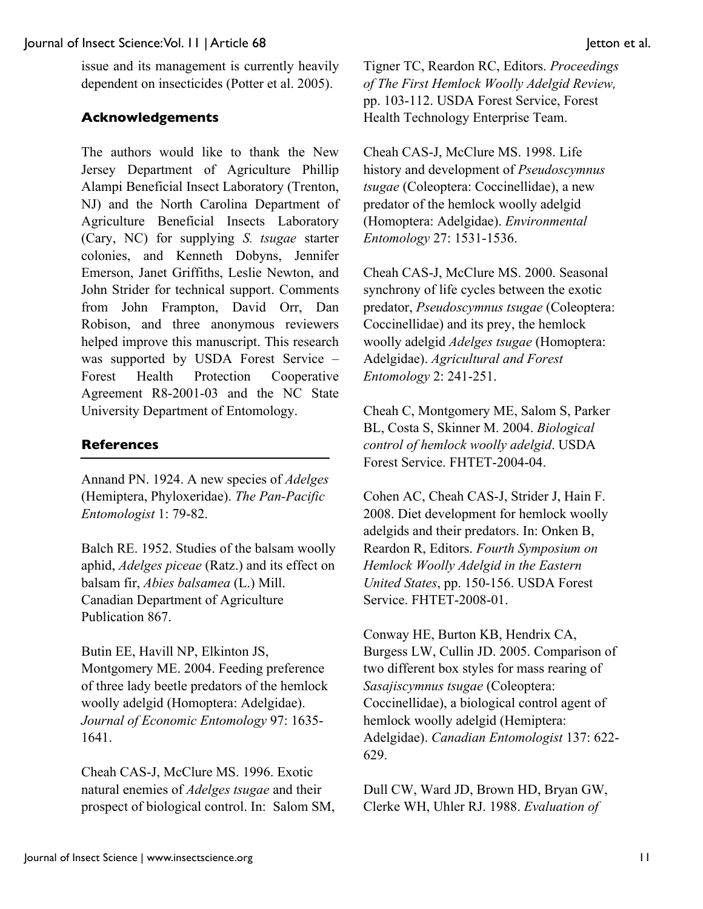issue and its management is currently heavily dependent on insecticides (Potter et al. 2005).

## **Acknowledgements**

The authors would like to thank the New Jersey Department of Agriculture Phillip Alampi Beneficial Insect Laboratory (Trenton, NJ) and the North Carolina Department of Agriculture Beneficial Insects Laboratory (Cary, NC) for supplying *S. tsugae* starter colonies, and Kenneth Dobyns, Jennifer Emerson, Janet Griffiths, Leslie Newton, and John Strider for technical support. Comments from John Frampton, David Orr, Dan Robison, and three anonymous reviewers helped improve this manuscript. This research was supported by USDA Forest Service – Forest Health Protection Cooperative Agreement R8-2001-03 and the NC State University Department of Entomology.

## **References**

Annand PN. 1924. A new species of *Adelges* (Hemiptera, Phyloxeridae). *The Pan-Pacific Entomologist* 1: 79-82.

Balch RE. 1952. Studies of the balsam woolly aphid, *Adelges piceae* (Ratz.) and its effect on balsam fir, *Abies balsamea* (L.) Mill. Canadian Department of Agriculture Publication 867.

Butin EE, Havill NP, Elkinton JS, Montgomery ME. 2004. Feeding preference of three lady beetle predators of the hemlock woolly adelgid (Homoptera: Adelgidae). *Journal of Economic Entomology* 97: 1635- 1641.

Cheah CAS-J, McClure MS. 1996. Exotic natural enemies of *Adelges tsugae* and their prospect of biological control. In: Salom SM, Tigner TC, Reardon RC, Editors. *Proceedings of The First Hemlock Woolly Adelgid Review,* pp. 103-112. USDA Forest Service, Forest Health Technology Enterprise Team.

Cheah CAS-J, McClure MS. 1998. Life history and development of *Pseudoscymnus tsugae* (Coleoptera: Coccinellidae), a new predator of the hemlock woolly adelgid (Homoptera: Adelgidae). *Environmental Entomology* 27: 1531-1536.

Cheah CAS-J, McClure MS. 2000. Seasonal synchrony of life cycles between the exotic predator, *Pseudoscymnus tsugae* (Coleoptera: Coccinellidae) and its prey, the hemlock woolly adelgid *Adelges tsugae* (Homoptera: Adelgidae). *Agricultural and Forest Entomology* 2: 241-251.

Cheah C, Montgomery ME, Salom S, Parker BL, Costa S, Skinner M. 2004. *Biological control of hemlock woolly adelgid*. USDA Forest Service. FHTET-2004-04.

Cohen AC, Cheah CAS-J, Strider J, Hain F. 2008. Diet development for hemlock woolly adelgids and their predators. In: Onken B, Reardon R, Editors. *Fourth Symposium on Hemlock Woolly Adelgid in the Eastern United States*, pp. 150-156. USDA Forest Service. FHTET-2008-01.

Conway HE, Burton KB, Hendrix CA, Burgess LW, Cullin JD. 2005. Comparison of two different box styles for mass rearing of *Sasajiscymnus tsugae* (Coleoptera: Coccinellidae), a biological control agent of hemlock woolly adelgid (Hemiptera: Adelgidae). *Canadian Entomologist* 137: 622- 629.

Dull CW, Ward JD, Brown HD, Bryan GW, Clerke WH, Uhler RJ. 1988. *Evaluation of*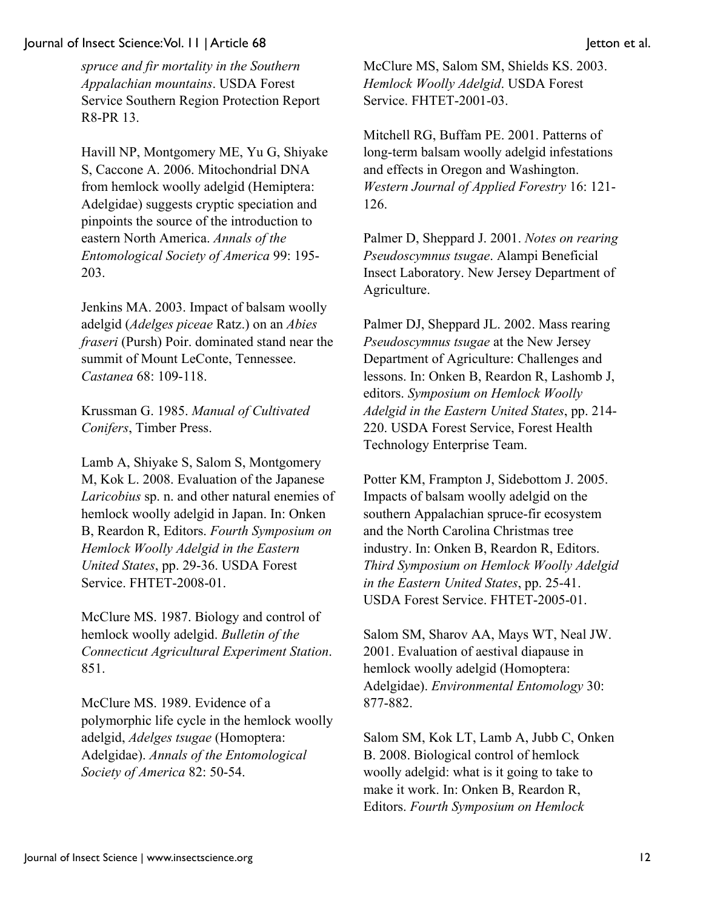*spruce and fir mortality in the Southern Appalachian mountains*. USDA Forest Service Southern Region Protection Report R8-PR 13.

Havill NP, Montgomery ME, Yu G, Shiyake S, Caccone A. 2006. Mitochondrial DNA from hemlock woolly adelgid (Hemiptera: Adelgidae) suggests cryptic speciation and pinpoints the source of the introduction to eastern North America. *Annals of the Entomological Society of America* 99: 195- 203.

Jenkins MA. 2003. Impact of balsam woolly adelgid (*Adelges piceae* Ratz.) on an *Abies fraseri* (Pursh) Poir. dominated stand near the summit of Mount LeConte, Tennessee. *Castanea* 68: 109-118.

Krussman G. 1985. *Manual of Cultivated Conifers*, Timber Press.

Lamb A, Shiyake S, Salom S, Montgomery M, Kok L. 2008. Evaluation of the Japanese *Laricobius* sp. n. and other natural enemies of hemlock woolly adelgid in Japan. In: Onken B, Reardon R, Editors. *Fourth Symposium on Hemlock Woolly Adelgid in the Eastern United States*, pp. 29-36. USDA Forest Service. FHTET-2008-01.

McClure MS. 1987. Biology and control of hemlock woolly adelgid. *Bulletin of the Connecticut Agricultural Experiment Station*. 851.

McClure MS. 1989. Evidence of a polymorphic life cycle in the hemlock woolly adelgid, *Adelges tsugae* (Homoptera: Adelgidae). *Annals of the Entomological Society of America* 82: 50-54.

McClure MS, Salom SM, Shields KS. 2003. *Hemlock Woolly Adelgid*. USDA Forest Service. FHTET-2001-03.

Mitchell RG, Buffam PE. 2001. Patterns of long-term balsam woolly adelgid infestations and effects in Oregon and Washington. *Western Journal of Applied Forestry* 16: 121- 126.

Palmer D, Sheppard J. 2001. *Notes on rearing Pseudoscymnus tsugae*. Alampi Beneficial Insect Laboratory. New Jersey Department of Agriculture.

Palmer DJ, Sheppard JL. 2002. Mass rearing *Pseudoscymnus tsugae* at the New Jersey Department of Agriculture: Challenges and lessons. In: Onken B, Reardon R, Lashomb J, editors. *Symposium on Hemlock Woolly Adelgid in the Eastern United States*, pp. 214- 220. USDA Forest Service, Forest Health Technology Enterprise Team.

Potter KM, Frampton J, Sidebottom J. 2005. Impacts of balsam woolly adelgid on the southern Appalachian spruce-fir ecosystem and the North Carolina Christmas tree industry. In: Onken B, Reardon R, Editors. *Third Symposium on Hemlock Woolly Adelgid in the Eastern United States*, pp. 25-41. USDA Forest Service. FHTET-2005-01.

Salom SM, Sharov AA, Mays WT, Neal JW. 2001. Evaluation of aestival diapause in hemlock woolly adelgid (Homoptera: Adelgidae). *Environmental Entomology* 30: 877-882.

Salom SM, Kok LT, Lamb A, Jubb C, Onken B. 2008. Biological control of hemlock woolly adelgid: what is it going to take to make it work. In: Onken B, Reardon R, Editors. *Fourth Symposium on Hemlock*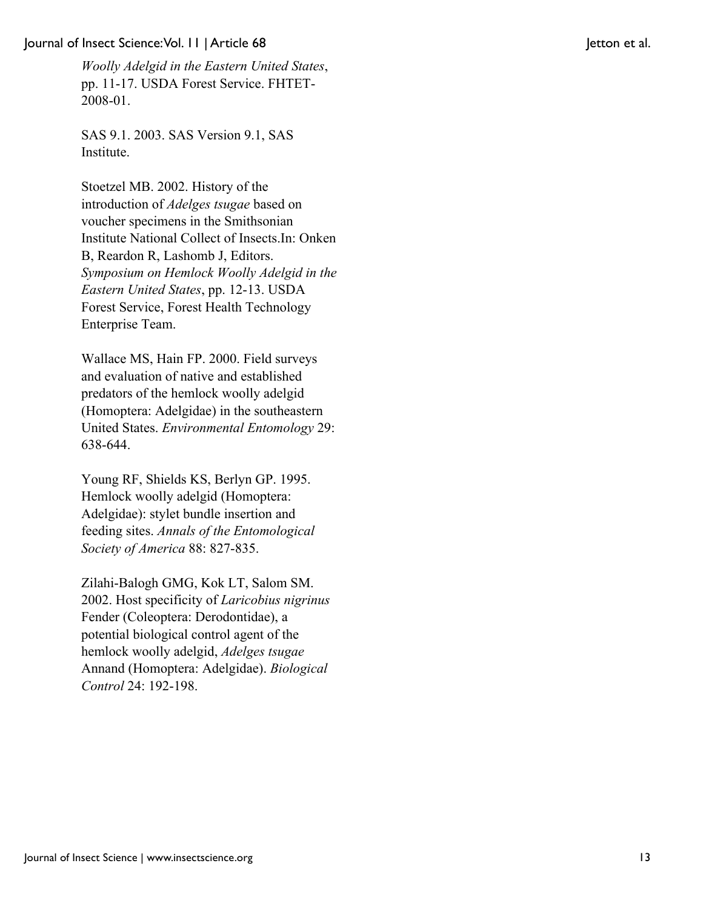*Woolly Adelgid in the Eastern United States*, pp. 11-17. USDA Forest Service. FHTET-2008-01.

SAS 9.1. 2003. SAS Version 9.1, SAS Institute.

Stoetzel MB. 2002. History of the introduction of *Adelges tsugae* based on voucher specimens in the Smithsonian Institute National Collect of Insects.In: Onken B, Reardon R, Lashomb J, Editors. *Symposium on Hemlock Woolly Adelgid in the Eastern United States*, pp. 12-13. USDA Forest Service, Forest Health Technology Enterprise Team.

Wallace MS, Hain FP. 2000. Field surveys and evaluation of native and established predators of the hemlock woolly adelgid (Homoptera: Adelgidae) in the southeastern United States. *Environmental Entomology* 29: 638-644.

Young RF, Shields KS, Berlyn GP. 1995. Hemlock woolly adelgid (Homoptera: Adelgidae): stylet bundle insertion and feeding sites. *Annals of the Entomological Society of America* 88: 827-835.

Zilahi-Balogh GMG, Kok LT, Salom SM. 2002. Host specificity of *Laricobius nigrinus* Fender (Coleoptera: Derodontidae), a potential biological control agent of the hemlock woolly adelgid, *Adelges tsugae* Annand (Homoptera: Adelgidae). *Biological Control* 24: 192-198.